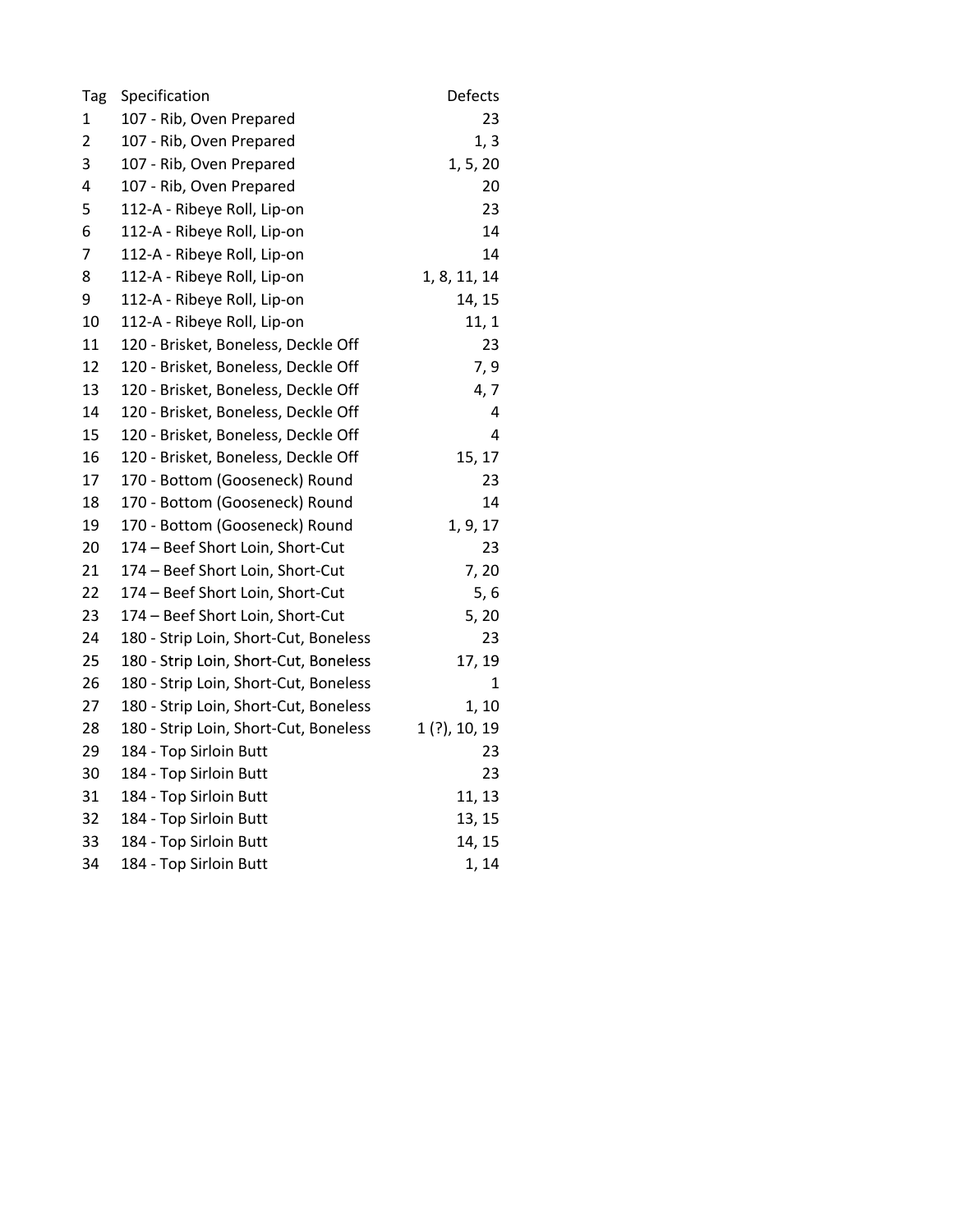| Tag | Specification                         | Defects         |
|-----|---------------------------------------|-----------------|
| 1   | 107 - Rib, Oven Prepared              | 23              |
| 2   | 107 - Rib, Oven Prepared              | 1, 3            |
| 3   | 107 - Rib, Oven Prepared              | 1, 5, 20        |
| 4   | 107 - Rib, Oven Prepared              | 20              |
| 5   | 112-A - Ribeye Roll, Lip-on           | 23              |
| 6   | 112-A - Ribeye Roll, Lip-on           | 14              |
| 7   | 112-A - Ribeye Roll, Lip-on           | 14              |
| 8   | 112-A - Ribeye Roll, Lip-on           | 1, 8, 11, 14    |
| 9   | 112-A - Ribeye Roll, Lip-on           | 14, 15          |
| 10  | 112-A - Ribeye Roll, Lip-on           | 11, 1           |
| 11  | 120 - Brisket, Boneless, Deckle Off   | 23              |
| 12  | 120 - Brisket, Boneless, Deckle Off   | 7, 9            |
| 13  | 120 - Brisket, Boneless, Deckle Off   | 4, 7            |
| 14  | 120 - Brisket, Boneless, Deckle Off   | 4               |
| 15  | 120 - Brisket, Boneless, Deckle Off   | 4               |
| 16  | 120 - Brisket, Boneless, Deckle Off   | 15, 17          |
| 17  | 170 - Bottom (Gooseneck) Round        | 23              |
| 18  | 170 - Bottom (Gooseneck) Round        | 14              |
| 19  | 170 - Bottom (Gooseneck) Round        | 1, 9, 17        |
| 20  | 174 - Beef Short Loin, Short-Cut      | 23              |
| 21  | 174 - Beef Short Loin, Short-Cut      | 7, 20           |
| 22  | 174 - Beef Short Loin, Short-Cut      | 5,6             |
| 23  | 174 - Beef Short Loin, Short-Cut      | 5, 20           |
| 24  | 180 - Strip Loin, Short-Cut, Boneless | 23              |
| 25  | 180 - Strip Loin, Short-Cut, Boneless | 17, 19          |
| 26  | 180 - Strip Loin, Short-Cut, Boneless | 1               |
| 27  | 180 - Strip Loin, Short-Cut, Boneless | 1, 10           |
| 28  | 180 - Strip Loin, Short-Cut, Boneless | $1(?)$ , 10, 19 |
| 29  | 184 - Top Sirloin Butt                | 23              |
| 30  | 184 - Top Sirloin Butt                | 23              |
| 31  | 184 - Top Sirloin Butt                | 11, 13          |
| 32  | 184 - Top Sirloin Butt                | 13, 15          |
| 33  | 184 - Top Sirloin Butt                | 14, 15          |
| 34  | 184 - Top Sirloin Butt                | 1, 14           |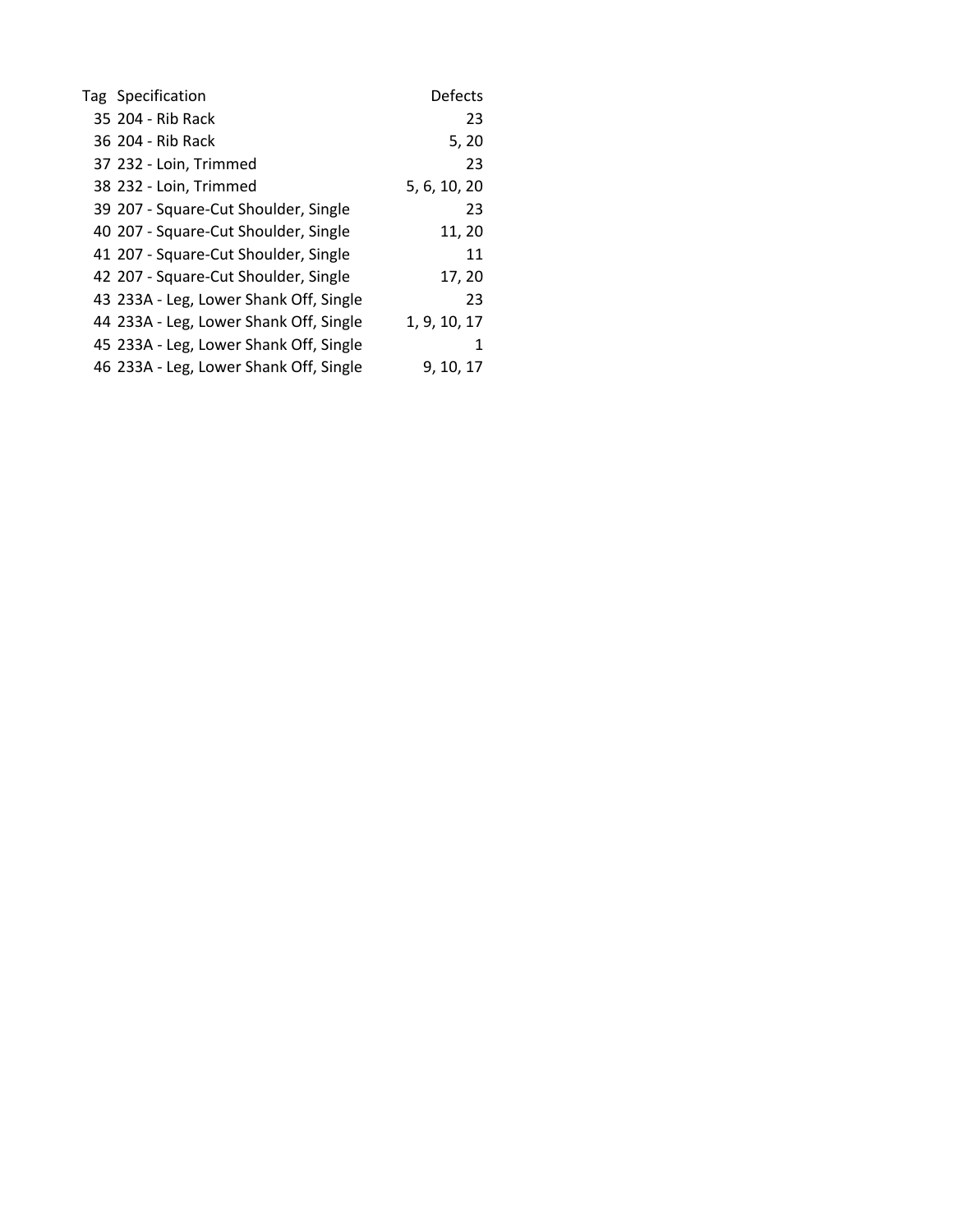| Tag Specification                      | <b>Defects</b> |
|----------------------------------------|----------------|
| 35 204 - Rib Rack                      | 23             |
| 36 204 - Rib Rack                      | 5, 20          |
| 37 232 - Loin, Trimmed                 | 23             |
| 38 232 - Loin, Trimmed                 | 5, 6, 10, 20   |
| 39 207 - Square-Cut Shoulder, Single   | 23             |
| 40 207 - Square-Cut Shoulder, Single   | 11, 20         |
| 41 207 - Square-Cut Shoulder, Single   | 11             |
| 42 207 - Square-Cut Shoulder, Single   | 17, 20         |
| 43 233A - Leg, Lower Shank Off, Single | 23             |
| 44 233A - Leg, Lower Shank Off, Single | 1, 9, 10, 17   |
| 45 233A - Leg, Lower Shank Off, Single | 1              |
| 46 233A - Leg, Lower Shank Off, Single | 9, 10, 17      |